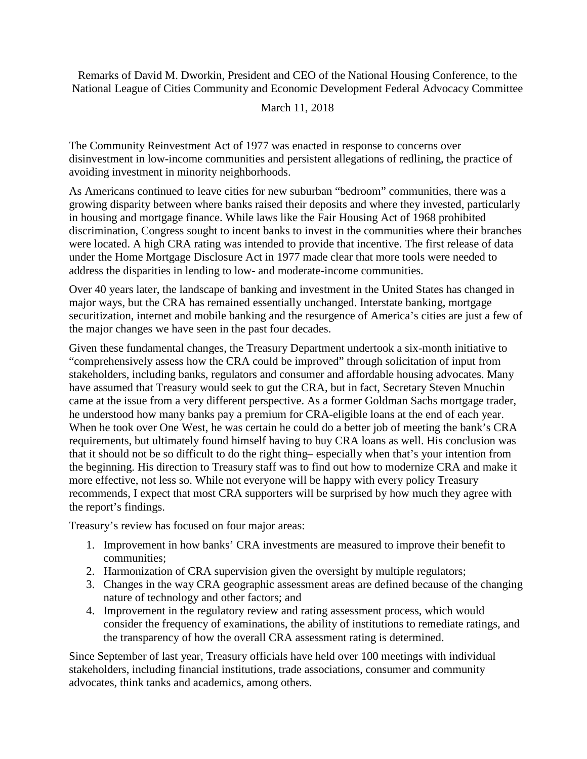Remarks of David M. Dworkin, President and CEO of the National Housing Conference, to the National League of Cities Community and Economic Development Federal Advocacy Committee

## March 11, 2018

The Community Reinvestment Act of 1977 was enacted in response to concerns over disinvestment in low-income communities and persistent allegations of redlining, the practice of avoiding investment in minority neighborhoods.

As Americans continued to leave cities for new suburban "bedroom" communities, there was a growing disparity between where banks raised their deposits and where they invested, particularly in housing and mortgage finance. While laws like the Fair Housing Act of 1968 prohibited discrimination, Congress sought to incent banks to invest in the communities where their branches were located. A high CRA rating was intended to provide that incentive. The first release of data under the Home Mortgage Disclosure Act in 1977 made clear that more tools were needed to address the disparities in lending to low- and moderate-income communities.

Over 40 years later, the landscape of banking and investment in the United States has changed in major ways, but the CRA has remained essentially unchanged. Interstate banking, mortgage securitization, internet and mobile banking and the resurgence of America's cities are just a few of the major changes we have seen in the past four decades.

Given these fundamental changes, the Treasury Department undertook a six-month initiative to "comprehensively assess how the CRA could be improved" through solicitation of input from stakeholders, including banks, regulators and consumer and affordable housing advocates. Many have assumed that Treasury would seek to gut the CRA, but in fact, Secretary Steven Mnuchin came at the issue from a very different perspective. As a former Goldman Sachs mortgage trader, he understood how many banks pay a premium for CRA-eligible loans at the end of each year. When he took over One West, he was certain he could do a better job of meeting the bank's CRA requirements, but ultimately found himself having to buy CRA loans as well. His conclusion was that it should not be so difficult to do the right thing– especially when that's your intention from the beginning. His direction to Treasury staff was to find out how to modernize CRA and make it more effective, not less so. While not everyone will be happy with every policy Treasury recommends, I expect that most CRA supporters will be surprised by how much they agree with the report's findings.

Treasury's review has focused on four major areas:

- 1. Improvement in how banks' CRA investments are measured to improve their benefit to communities;
- 2. Harmonization of CRA supervision given the oversight by multiple regulators;
- 3. Changes in the way CRA geographic assessment areas are defined because of the changing nature of technology and other factors; and
- 4. Improvement in the regulatory review and rating assessment process, which would consider the frequency of examinations, the ability of institutions to remediate ratings, and the transparency of how the overall CRA assessment rating is determined.

Since September of last year, Treasury officials have held over 100 meetings with individual stakeholders, including financial institutions, trade associations, consumer and community advocates, think tanks and academics, among others.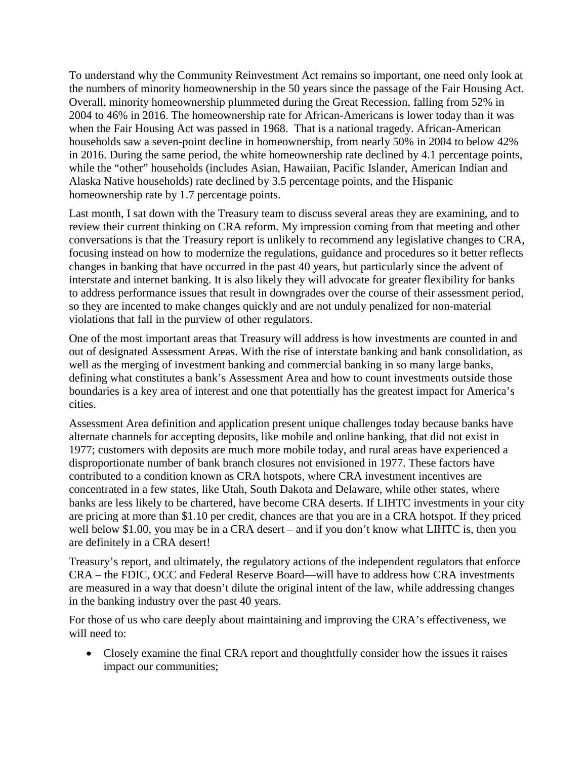To understand why the Community Reinvestment Act remains so important, one need only look at the numbers of minority homeownership in the 50 years since the passage of the Fair Housing Act. Overall, minority homeownership plummeted during the Great Recession, falling from 52% in 2004 to 46% in 2016. The homeownership rate for African-Americans is lower today than it was when the Fair Housing Act was passed in 1968. That is a national tragedy. African-American households saw a seven-point decline in homeownership, from nearly 50% in 2004 to below 42% in 2016. During the same period, the white homeownership rate declined by 4.1 percentage points, while the "other" households (includes Asian, Hawaiian, Pacific Islander, American Indian and Alaska Native households) rate declined by 3.5 percentage points, and the Hispanic homeownership rate by 1.7 percentage points.

Last month, I sat down with the Treasury team to discuss several areas they are examining, and to review their current thinking on CRA reform. My impression coming from that meeting and other conversations is that the Treasury report is unlikely to recommend any legislative changes to CRA, focusing instead on how to modernize the regulations, guidance and procedures so it better reflects changes in banking that have occurred in the past 40 years, but particularly since the advent of interstate and internet banking. It is also likely they will advocate for greater flexibility for banks to address performance issues that result in downgrades over the course of their assessment period, so they are incented to make changes quickly and are not unduly penalized for non-material violations that fall in the purview of other regulators.

One of the most important areas that Treasury will address is how investments are counted in and out of designated Assessment Areas. With the rise of interstate banking and bank consolidation, as well as the merging of investment banking and commercial banking in so many large banks, defining what constitutes a bank's Assessment Area and how to count investments outside those boundaries is a key area of interest and one that potentially has the greatest impact for America's cities.

Assessment Area definition and application present unique challenges today because banks have alternate channels for accepting deposits, like mobile and online banking, that did not exist in 1977; customers with deposits are much more mobile today, and rural areas have experienced a disproportionate number of bank branch closures not envisioned in 1977. These factors have contributed to a condition known as CRA hotspots, where CRA investment incentives are concentrated in a few states, like Utah, South Dakota and Delaware, while other states, where banks are less likely to be chartered, have become CRA deserts. If LIHTC investments in your city are pricing at more than \$1.10 per credit, chances are that you are in a CRA hotspot. If they priced well below \$1.00, you may be in a CRA desert – and if you don't know what LIHTC is, then you are definitely in a CRA desert!

Treasury's report, and ultimately, the regulatory actions of the independent regulators that enforce CRA – the FDIC, OCC and Federal Reserve Board—will have to address how CRA investments are measured in a way that doesn't dilute the original intent of the law, while addressing changes in the banking industry over the past 40 years.

For those of us who care deeply about maintaining and improving the CRA's effectiveness, we will need to:

• Closely examine the final CRA report and thoughtfully consider how the issues it raises impact our communities;